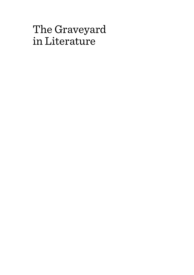# The Graveyard in Literature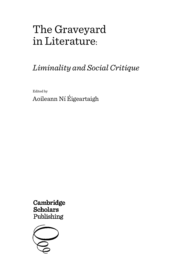# The Graveyard in Literature:

## *Liminality and Social Critique*

Edited by Aoileann Ní Éigeartaigh

Cambridge **Scholars** Publishing

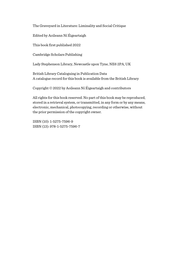The Graveyard in Literature: Liminality and Social Critique

Edited by Aoileann Ní Éigeartaigh

This book first published 2022

Cambridge Scholars Publishing

Lady Stephenson Library, Newcastle upon Tyne, NE6 2PA, UK

British Library Cataloguing in Publication Data A catalogue record for this book is available from the British Library

Copyright © 2022 by Aoileann Ní Éigeartaigh and contributors

All rights for this book reserved. No part of this book may be reproduced, stored in a retrieval system, or transmitted, in any form or by any means, electronic, mechanical, photocopying, recording or otherwise, without the prior permission of the copyright owner.

ISBN (10): 1-5275-7596-9 ISBN (13): 978-1-5275-7596-7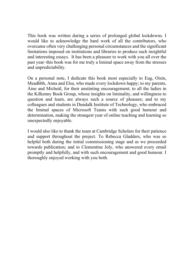This book was written during a series of prolonged global lockdowns. I would like to acknowledge the hard work of all the contributors, who overcame often very challenging personal circumstances and the significant limitations imposed on institutions and libraries to produce such insightful and interesting essays. It has been a pleasure to work with you all over the past year–this book was for me truly a liminal space away from the stresses and unpredictability.

On a personal note, I dedicate this book most especially to Eug, Oisín, Meadhbh, Anna and Elsa, who made every lockdown happy; to my parents, Áine and Micheál, for their unstinting encouragement; to all the ladies in the Kilkenny Book Group, whose insights on liminality, and willingness to question and learn, are always such a source of pleasure; and to my colleagues and students in Dundalk Institute of Technology, who embraced the liminal spaces of Microsoft Teams with such good humour and determination, making the strangest year of online teaching and learning so unexpectedly enjoyable.

I would also like to thank the team at Cambridge Scholars for their patience and support throughout the project. To Rebecca Gladders, who was so helpful both during the initial commissioning stage and as we proceeded towards publication; and to Clementine Joly, who answered every email promptly and helpfully, and with such encouragement and good humour. I thoroughly enjoyed working with you both.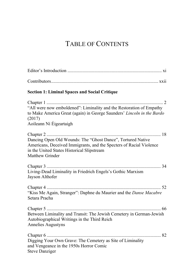### TABLE OF CONTENTS

| <b>Section 1: Liminal Spaces and Social Critique</b>                                                                                                                                                |
|-----------------------------------------------------------------------------------------------------------------------------------------------------------------------------------------------------|
| "All were now emboldened": Liminality and the Restoration of Empathy<br>to Make America Great (again) in George Saunders' Lincoln in the Bardo<br>(2017)<br>Aoileann Ní Éigeartaigh                 |
| Dancing Open Old Wounds: The "Ghost Dance", Tortured Native<br>Americans, Deceived Immigrants, and the Specters of Racial Violence<br>in the United States Historical Slipstream<br>Matthew Grinder |
| Living-Dead Liminality in Friedrich Engels's Gothic Marxism<br>Jayson Althofer                                                                                                                      |
| "Kiss Me Again, Stranger": Daphne du Maurier and the Danse Macabre<br>Setara Pracha                                                                                                                 |
| Between Liminality and Transit: The Jewish Cemetery in German-Jewish<br>Autobiographical Writings in the Third Reich<br>Annelies Augustyns                                                          |
| Digging Your Own Grave: The Cemetery as Site of Liminality<br>and Vengeance in the 1950s Horror Comic<br><b>Steve Danziger</b>                                                                      |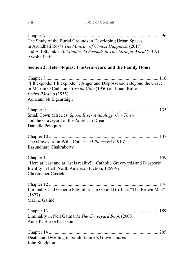viii Table of Contents

Chapter 7 .................................................................................................. 96 The Study of the Burial Grounds in Developing Urban Spaces in Arundhati Roy's *The Ministry of Utmost Happiness* (2017) and Elif Shafak's *10 Minutes 38 Seconds in This Strange World* (2019) Ayesha Latif

#### **Section 2: Heterotopias: The Graveyard and the Family Home**

| "I'll explode! I'll explode!": Anger and Dispossession Beyond the Grave<br>in Máirtín Ó Cadhain's <i>Cré na Cille</i> (1950) and Juan Rulfo's<br>Pedro Páramo (1955)<br>Aoileann Ní Éigeartaigh |
|-------------------------------------------------------------------------------------------------------------------------------------------------------------------------------------------------|
| Small Town Miseries: Spoon River Anthology, Our Town<br>and the Graveyard of the American Dream<br>Danielle Peloquin                                                                            |
| The Graveyard in Willa Cather's O Pioneers! (1913)<br>Basundhara Chakraborty                                                                                                                    |
| "Here at least and at last is reality!": Catholic Graveyards and Diasporic<br>Identity in Irish North American Fiction, 1859-92<br>Christopher Cusack                                           |
| Liminality and Generic Playfulness in Gerald Griffin's "The Brown Man"<br>(1827)<br>Marine Galiné                                                                                               |
| Liminality in Neil Gaiman's The Graveyard Book (2008)<br>Anne K. Burke Erickson                                                                                                                 |
| Death and Dwelling in Sarah Baume's Grave Houses<br>John Singleton                                                                                                                              |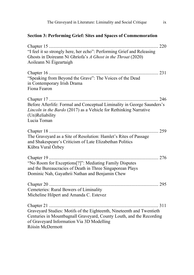| The Graveyard in Literature: Liminality and Social Critique<br>ix                                                                                                                                              |  |  |
|----------------------------------------------------------------------------------------------------------------------------------------------------------------------------------------------------------------|--|--|
| <b>Section 3: Performing Grief: Sites and Spaces of Commemoration</b>                                                                                                                                          |  |  |
| "I feel it so strongly here, her echo": Performing Grief and Releasing<br>Ghosts in Doireann Ní Ghríofa's A Ghost in the Throat (2020)<br>Aoileann Ní Éigeartaigh                                              |  |  |
| "Speaking from Beyond the Grave": The Voices of the Dead<br>in Contemporary Irish Drama<br>Fiona Fearon                                                                                                        |  |  |
| Before Afterlife: Formal and Conceptual Liminality in George Saunders's<br>Lincoln in the Bardo (2017) as a Vehicle for Rethinking Narrative<br>(Un)Reliability<br>Lucia Toman                                 |  |  |
| The Graveyard as a Site of Resolution: Hamlet's Rites of Passage<br>and Shakespeare's Criticism of Late Elizabethan Politics<br>Kübra Vural Özbey                                                              |  |  |
| "No Room for Exceptions[?]": Mediating Family Disputes<br>and the Bureaucracies of Death in Three Singaporean Plays<br>Dominic Nah, Gayathrii Nathan and Benjamin Chew                                         |  |  |
| Cemeteries: Rural Bowers of Liminality<br>Micheline Hilpert and Amanda C. Estevez                                                                                                                              |  |  |
| Graveyard Studies: Motifs of the Eighteenth, Nineteenth and Twentieth<br>Centuries in Mountbagnall Graveyard, County Louth, and the Recording<br>of Graveyard Information Via 3D Modelling<br>Róisín McDermott |  |  |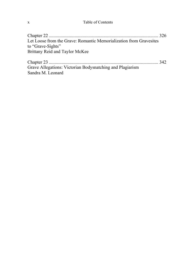#### x Table of Contents

| Let Loose from the Grave: Romantic Memorialization from Gravesites |  |
|--------------------------------------------------------------------|--|
| to "Grave-Sights"                                                  |  |
| Brittany Reid and Taylor McKee                                     |  |
|                                                                    |  |

Chapter 23 .............................................................................................. 342 Grave Allegations: Victorian Bodysnatching and Plagiarism Sandra M. Leonard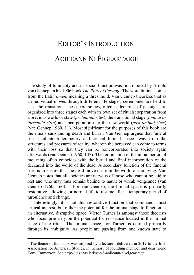## EDITOR'S INTRODUCTION[1](#page-10-0) AOILEANN NÍ ÉIGEARTAIGH

The study of liminality and its social function was first mooted by Arnold van Gennep, in his 1906 book *The Rites of Passage.* The word liminal comes from the Latin *limen*, meaning a threshhold. Van Gennep theorizes that as an individual moves through different life stages, ceremonies are held to ease the transition. These ceremonies, often called rites of passage, are organized into three stages each with its own set of rituals: separation from a previous world or state (*preliminal rites*), the transitional stage (*liminal or threshold rites*) and incorporation into the new world (*post-liminal rites*) (van Gennep 1960, 11). Most significant for the purposes of this book are the rituals surrounding death and burial. Van Gennep argues that funeral rites facilitate a temporary and crucial liminal space away from the structures and pressures of reality, wherein the bereaved can come to terms with their loss so that they can be reincorporated into society again afterwards (van Gennep 1960, 147). The termination of the initial period of mourning often coincides with the burial and final incorporation of the deceased into the world of the dead. A secondary function of the funeral rites is to ensure that the dead move on from the world of the living. Van Gennep notes that all societies are nervous of those who cannot be laid to rest and who may thus remain behind to haunt or wreak vengeance (van Gennep 1960, 160). For van Gennep, the liminal space is primarily restorative, allowing for normal life to resume after a temporary period of turbulence and change.

Interestingly, it is not this restorative function that commands most critical interest, but rather the potential for the liminal stage to function as an alternative, disruptive space. Victor Turner is amongst those theorists who focus primarily on the potential for resistance located in the liminal stage of the ritual. The liminal space, for Turner, is defined primarily through its ambiguity. As people are passing from one known state to

<span id="page-10-0"></span><sup>&</sup>lt;sup>1</sup> The theme of this book was inspired by a lecture I delivered in 2019 to the Irish Association for American Studies, in memory of founding member and dear friend Tony Emmerson. See http://ijas.iaas.ie/issue-8-aoileann-ni-eigeartaigh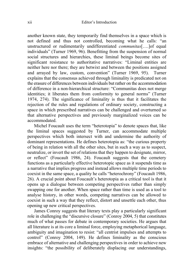another known state, they temporarily find themselves in a space which is not defined and thus not controlled, becoming what he calls: "an unstructured or rudimentarily undifferentiated *communitas*[….]of equal individuals" (Turner 1969, 96). Benefitting from the suspension of normal social structures and hierarchies, these liminal beings become sites of significant resistance to authoritative narratives: "Liminal entities are neither here nor there; they are betwixt and between the positions assigned and arrayed by law, custom, convention" (Turner 1969, 95). Turner explains that the consensus achieved through liminality is predicated not on the erasure of differences between individuals but rather on the accommodation of difference in a non-hierarchical structure: "Communitas does not merge identities; it liberates them from conformity to general norms" (Turner 1974, 274). The significance of liminality is thus that it facilitates the rejection of the rules and regulations of ordinary society, constructing a space in which prescribed narratives can be challenged and overturned so that alternative perspectives and previously marginalized voices can be accommodated.

Michel Foucault uses the term "heterotopia" to denote spaces that, like the liminal spaces suggested by Turner, can accommodate multiple perspectives which both intersect with and undermine the authority of dominant representations. He defines heterotopia as: "the curious property of being in relation with all the other sites, but in such a way as to suspect, neutralize, or invert the set of relations that they happen to designate, mirror, or reflect" (Foucault 1986, 24). Foucault suggests that the cemetery functions as a particularly effective heterotopic space as it suspends time as a narrative that implies progress and instead allows multiple time periods to coexist in the same space, a quality he calls "heterochrony" (Foucault 1986, 26). A crucial point about Foucault's heterotopia as a critical tool is that it opens up a dialogue between competing perspectives rather than simply swapping one for another. When space rather than time is used as a tool to analyse history, in other words, competing narratives can be allowed to coexist in such a way that they reflect, distort and unsettle each other, thus opening up new critical perspectives.

James Conroy suggests that literary texts play a particularly significant role in challenging the "discursive closure" (Conroy 2004, 5) that constitutes much of what passes for debate in contemporary societies. He argues that all literature is at its core a liminal force, employing metaphorical language, ambiguity and imagination to resist: "all centrist impulses and attempts to control" (Conroy 2004, 149). He defines liminality as the conscious embrace of alternative and challenging perspectives in order to achieve new insights: "the possibility of deliberately displacing our understandings,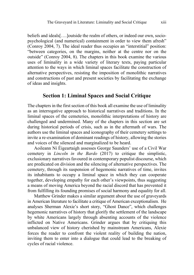beliefs and ideals[….]outside the realm of others, or indeed our own, sociopsychological (and numerical) containment in order to view them afresh" (Conroy 2004, 7). The ideal reader thus occupies an "interstitial" position: "between categories, on the margins, neither at the centre nor on the outside" (Conroy 2004, 8). The chapters in this book examine the various uses of liminality in a wide variety of literary texts, paying particular attention to the ways in which liminal spaces facilitate the construction of alternative perspectives, resisting the imposition of monolithic narratives and constructions of past and present societies by facilitating the exchange of ideas and insights.

#### **Section 1: Liminal Spaces and Social Critique**

The chapters in the first section of this book all examine the use of liminality as an interrogative approach to historical narratives and traditions. In the liminal spaces of the cemeteries, monolithic interpretations of history are challenged and undermined. Many of the chapters in this section are set during historical periods of crisis, such as in the aftermath of wars. The authors use the liminal spaces and iconography of their cemetery settings to invite a re-examination of dominant readings of history, allowing the stories and voices of the silenced and marginalized to be heard.

Aoileann Ní Éigeartaigh assesses George Saunders' use of a Civil War cemetery in *Lincoln in the Bardo* (2017) to critique the simplistic, exclusionary narratives favoured in contemporary populist discourse, which are predicated on division and the silencing of alternative perspectives. The cemetery, through its suspension of hegemonic narratives of time, invites its inhabitants to occupy a liminal space in which they can cooperate together, developing empathy for each other's viewpoints, thus suggesting a means of moving America beyond the racial discord that has prevented it from fulfilling its founding promises of social harmony and equality for all.

Matthew Grinder makes a similar argument about the use of graveyards in American literature to facilitate a critique of American exceptionalism. He analyses Sherman Alexie's short story, "Ghost Dance", which challenges hegemonic narratives of history that glorify the settlement of the landscape by white Americans largely through absenting accounts of the violence inflicted on Native Americans. Grinder argues that by critiquing this unbalanced view of history cherished by mainstream Americans, Alexie forces the reader to confront the violent reality of building the nation, inviting them to enter into a dialogue that could lead to the breaking of cycles of racial violence.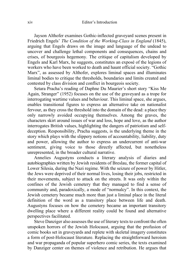Jayson Althofer examines Gothic-inflected graveyard scenes present in Friedrich Engels' *The Condition of the Working-Class in England* (1845), arguing that Engels draws on the image and language of the undead to uncover and challenge lethal components and consequences, chains and crises, of bourgeois hegemony. The critique of capitalism developed by Engels and Karl Marx, he suggests, constitutes an exposé of the legions of workers who have been worked to death and haunt official society. "Gothic Marx", as assessed by Althofer, explores liminal spaces and illuminates liminal bodies to critique the thresholds, boundaries and limits created and contested by class division and conflict in bourgeois society.

Setara Pracha's reading of Daphne Du Maurier's short story "Kiss Me Again, Stranger" (1952) focuses on the use of the graveyard as a trope for interrogating wartime values and behaviour. This liminal space, she argues, enables transitional figures to express an alternative take on nationalist fervour, as they cross the threshold into the domain of the dead: a place they only narrowly avoided occupying themselves. Among the graves, the characters skirt around issues of war and loss, hope and love, as the author interrogates British values, highlighting the dangers of patriotism and selfdeception. Responsibility, Pracha suggests, is the underlying theme in the story which plays with the slippery notions of accountability, liability, duty and power, allowing the author to express an undercurrent of anti-war sentiment, giving voice to those directly affected, but nonetheless unrepresented, in the broader cultural narrative.

Annelies Augustyns conducts a literary analysis of diaries and autobiographies written by Jewish residents of Breslau, the former capital of Lower Silesia, during the Nazi regime. With the seizure of power by Hitler, the Jews were deprived of their normal lives, losing their jobs, restricted in their movements, subject to attack on the streets. It was only within the confines of the Jewish cemetery that they managed to find a sense of community and, paradoxically, a mode of "normalcy". In this context, the Jewish cemetery became much more than just a liminal place in the literal definition of the word as a transitory place between life and death. Augustyns focuses on how the cemetery became an important transitory dwelling place where a different reality could be found and alternative perspectives facilitated.

Steve Danziger also assesses the use of literary texts to confront the often unspoken horrors of the Jewish Holocaust, arguing that the profusion of comic books set in graveyards and replete with skeletal imagery constitutes a form of post-Holocaust literature. Replacing the straightforward heroism and war propaganda of popular superhero comic series, the texts examined by Danziger center on themes of violence and retribution. He argues that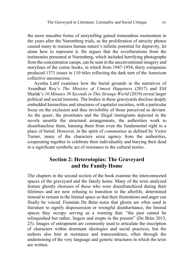the more macabre forms of storytelling gained tremendous momentum in the years after the Nuremberg trials, as the proliferation of atrocity photos caused many to reassess human nature's infinite potential for depravity, let alone how to represent it. He argues that the reverberations from the testimonies presented at Nuremberg, which included horrifying photographs from the concentration camps, can be seen in the unconventional imagery and storylines of the comic books, in which from 1947-1954, thirty companies produced 1371 issues in 110 titles reflecting the dark turn of the American collective unconscious.

Ayesha Latif examines how the burial grounds in the narratives of Arundhati Roy's *The Ministry of Utmost Happiness* (2017) and Elif Shafak's *10 Minutes 38 Seconds in This Strange World* (2019) reveal larger political and social tensions. The bodies in these graveyards disclose deeply embedded hierarchies and structures of capitalist societies, with a particular focus on the exclusion and thus invisibility of those perceived as deviant. As the queer, the prostitutes and the illegal immigrants depicted in the novels unsettle the structural arrangements, the authorities work to disenfranchise them, banning them from even the fundamental right to a place of burial. However, in the spirit of *communitas* as defined by Victor Turner, many of the characters seize agency from the authorities, cooperating together to celebrate their individuality and burying their dead in a significant symbolic act of resistance to the cultural norms.

#### **Section 2: Heterotopias: The Graveyard and the Family Home**

The chapters in the second section of the book examine the interconnected spaces of the graveyard and the family home. Many of the texts analyzed feature ghostly choruses of those who were disenfranchized during their lifetimes and are now refusing to transition to the afterlife, determined instead to remain in the liminal space so that their frustrations and anger can finally be voiced. Fionntán De Brún notes that ghosts are often used in literature to signify dispossession or wrongful disinheritance, the liminal spaces they occupy serving as a warning that: "the past cannot be relinquished but rather, lingers and erupts in the present" (De Brún 2013, 25). Images of entrapment are commonly used to articulate the inscription of characters within dominant ideologies and social practices, but the authors also hint at resistance and transcendence, often through the undermining of the very language and generic structures in which the texts are written.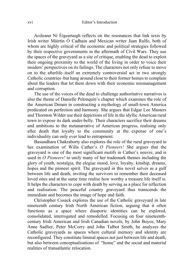Aoileann Ní Éigeartaigh reflects on the resonances that link texts by Irish writer Máirtín Ó Cadhain and Mexican writer Juan Rulfo, both of whom are highly critical of the economic and political strategies followed by their respective governments in the aftermath of Civil Wars. They use the spaces of the graveyard as a site of critique, enabling the dead to exploit their ongoing proximity to the world of the living in order to voice their insiders' perspectives on its failings. The characters not only refuse to move on to the afterlife–itself an extremely controversial act in two strongly Catholic countries–but hang around close to their former homes to complain about the leaders that let them down with their economic mismanagement and corruption.

The use of the voices of the dead to challenge authoritative narratives is also the theme of Danielle Pelonquin's chapter which examines the role of the American Dream in constructing a mythology of small-town America predicated on perfection and harmony. She argues that Edgar Lee Masters and Thornton Wilder use their depictions of life in the idyllic American rural town to expose its dark under-belly. Their characters sacrifice their dreams and ambitions to the metanarrative of American progress, realising only after death that loyalty to the community at the expense of one's individuality can only ever lead to entrapment.

Basundhara Chakraborty also explores the role of the rural graveyard in her examination of Willa Cather's *O Pioneers!* She argues that the graveyard is one of the most significant motifs in Cather's oeuvre, and is used in *O Pioneers!* to unify many of her trademark themes including the glory of youth, nostalgia, the elegiac mood, love, loyalty, kinship, dreams, hopes and the pioneer spirit. The graveyard in this novel serves as a gulf between life and death, inviting the survivors to remember their deceased loved ones and at the same time realise how worthy a treasure life itself is. It helps the characters to cope with death by serving as a place for reflection and realisation. The peaceful country graveyard thus transcends the immediate and becomes the image of hope and faith.

Christopher Cusack explores the use of the Catholic graveyard in late nineteenth century Irish North American fiction, arguing that it often functions as a space where diasporic identities can be explored, consolidated, interrogated and remodelled. Focusing on four nineteenthcentury Irish American and Irish Canadian novels, by John Boyce, Mary Anne Sadlier, Peter McCorry and John Talbot Smith, he analyzes the Catholic graveyards as spaces where cultural memory and identity are reconfigured. They constitute liminal spaces not just between life and death, but also between conceptualisations of "home" and the social and material realities of transatlantic relocation.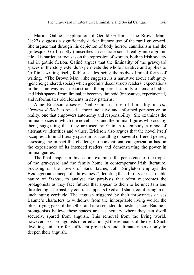Marine Galiné's exploration of Gerald Griffin's "The Brown Man" (1827) suggests a significantly darker literary use of the rural graveyard. She argues that through his depiction of body horror, cannibalism and the grotesque, Griffin aptly transcribes an accurate social reality into a gothic tale. His particular focus is on the repression of women, both in Irish society and in gothic fiction. Galiné argues that the liminality of the graveyard spaces in the story extends to permeate the whole narrative and applies to Griffin's writing itself, folkloric tales being themselves liminal forms of writing. "The Brown Man", she suggests, is a narrative about ambiguity (generic, gendered, social) which gleefully deconstructs readers' expectations in the same way as it deconstructs the apparent stability of female bodies and Irish spaces. From liminal, it becomes liminoid (innovative, experimental) and reformulates old elements in new patterns.

Anne Erickson assesses Neil Gaiman's use of liminality in *The Graveyard Book* to reveal a more inclusive and informed perspective on reality, one that empowers autonomy and responsibility. She examines the liminal spaces in which the novel is set and the liminal figures who occupy them, suggesting that they are used by Gaiman to embody a range of alternative identities and values. Erickson also argues that the novel itself occupies a liminal literary space in its straddling of several different genres, assessing the impact this challenge to conventional categorization has on the experiences of its intended readers and demonstrating the power in liminal genres.

The final chapter in this section examines the persistence of the tropes of the graveyard and the family home in contemporary Irish literature. Focusing on the novels of Sara Baume, John Singleton employs the Heideggerian concept of "thrownness", denoting the arbitrary or inscrutable nature of *Dasein*, to analyse the paralysis that often overcomes the protagonists as they face futures that appear to them to be uncertain and threatening. The past, by contrast, appears fixed and static, comforting in its unchanging certitude. The anguish triggered by their thrownness causes Baume's characters to withdraw from the inhospitable living world, the objectifying gaze of the Other and into secluded domestic spaces. Baume's protagonists believe these spaces are a sanctuary where they can dwell securely, spared from anguish. This removal from the living world, however, sees protagonists interred amongst the remnants of the dead. Such dwellings fail to offer sufficient protection and ultimately serve only to deepen their anguish.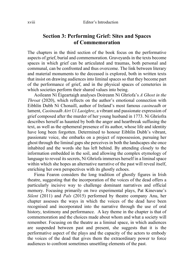#### **Section 3: Performing Grief: Sites and Spaces of Commemoration**

The chapters in the third section of the book focus on the performative aspects of grief, burial and commemoration. Graveyards in the texts become spaces in which grief can be articulated and traumas, both personal and communal, can be confronted and thus overcome. The link between literary and material monuments to the deceased is explored, both in written texts that insist on drawing audiences into liminal spaces so that they become part of the performance of grief, and in the physical spaces of cemeteries in which societies perform their shared values into being.

Aoileann Ní Éigeartaigh analyses Doireann Ni Ghríofa's *A Ghost in the Throat* (2020), which reflects on the author's emotional connection with Eibhlín Dubh Ní Chonaill, author of Ireland's most famous *caoineadh* or lament, *Caoineadh Airt Uí Laoighre*, a vibrant and passionate expression of grief composed after the murder of her young husband in 1773. Ní Ghríofra describes herself as haunted by both the anger and heartbreak suffusing the text, as well as the ephemeral presence of its author, whose life and identity have long been forgotten. Determined to honour Eibhlín Dubh's vibrant, passionate voice, she embarks on a project of repossession, pursuing her ghost through the liminal gaps she perceives in both the landscapes she once inhabited and the words she has left behind. By attending closely to the information embedded in the soil, and allowing the complex etymology of language to reveal its secrets, Ní Ghríofa immerses herself in a liminal space within which she hopes an alternative narrative of the past will reveal itself, enriching her own perspectives with its ghostly echoes.

Fiona Fearon considers the long tradition of ghostly figures in Irish theatre, suggesting that the incorporation of the voices of the dead offers a particularly incisive way to challenge dominant narratives and official memory. Focusing primarily on two experimental plays, Pat Kinevane's *Silent* (2011) and *Pals* (2015) performed by theatre company Anu, her chapter assesses the ways in which the voices of the dead have been recognised and incorporated into the narrative through the use of oral history, testimony and performance. A key theme in the chapter is that of commemoration and the choices made about whom and what a society will remember. Focusing on the theatre as a liminal space, in which audiences are suspended between past and present, she suggests that it is the performative aspect of the plays and the capacity of the actors to embody the voices of the dead that gives them the extraordinary power to force audiences to confront sometimes unsettling elements of the past.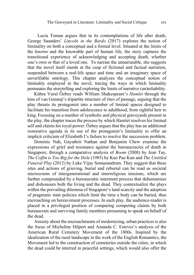Lucia Toman argues that in its contemplations of life after death, George Saunders' *Lincoln in the Bardo* (2017) explores the notion of liminality on both a conceptual and a formal level. Situated at the limits of the known and the knowable part of human life, the story captures the transitional experience of acknowledging and accepting death, whether one's own or that of a loved one. To narrate the unnarratable, she suggests that the novel itself stands at the cusp of fictional and factual narration, suspended between a real-life space and time and an imaginary space of unverifiable ontology. This chapter analyzes the conceptual notion of liminality employed in the novel, tracing the ways in which liminality permeates the storytelling and exploring the limits of narrative (un)reliability.

Kübra Vural Özbey reads William Shakespeare's *Hamlet* through the lens of van Gennep's tripartite structure of rites of passage, arguing that the play thrusts its protagonist into a number of liminal spaces designed to facilitate his transition from adolescence to adulthood, from rightful heir to king. Focusing on a number of symbolic and physical graveyards present in the play, the chapter traces the process by which Hamlet resolves his liminal self and claims his royal power. Özbey argues that the play has an additional restorative agenda in its use of the protagonist's liminality to offer an implicit criticism of Elizabeth I's failure to resolve the succession problem.

Dominic Nah, Gayathrii Nathan and Benjamin Chew examine the expressions of grief and resistance against the bureaucracies of death in Singapore, through a comparative analysis of *Boom* (2008) by Jean Tay, *The Coffin is Too Big for the Hole* (1985) by Kuo Pao Kun and *The Untitled Funeral Play* (2012) by Luke Vijay Somasundram. They suggest that these sites and actions of grieving, burial and reburial can be read as societal microcosms of intergenerational and interreligious tensions, which are further compounded by a bureaucratic interment process that dehumanises and dishonours both the living and the dead. They contextualize the plays within the prevailing dilemma of Singapore's land scarcity and the adoption of pragmatic state policies which limit the time a body can be buried, thus encroaching on bereavement processes. In each play, the audience-reader is placed in a privileged position of comparing competing claims by both bureaucrats and surviving family members presuming to speak on behalf of the dead.

Anxiety about the encroachments of modernizing, urban practices is also the focus of Micheline Hilpert and Amanda C. Estevez's analysis of the American Rural Cemetery Movement of the 1800s. Inspired by the idealization of the rural landscape in the work of the English Romantics, the Movement led to the construction of cemeteries outside the cities, in which the dead could be interred in peaceful settings, which would also offer the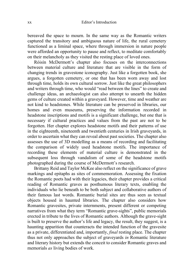bereaved the space to mourn. In the same way as the Romantic writers captured the transitory and ambiguous nature of life, the rural cemetery functioned as a liminal space, where through immersion in nature people were afforded an opportunity to pause and reflect, to meditate comfortably on their melancholy as they visited the resting place of loved ones.

Róisín McDermott's chapter also focuses on the interconnections between material culture and literature that are visible in the form of changing trends in gravestone iconography. Just like a forgotten book, she argues, a forgotten cemetery, or one that has been worn away and lost through time, holds its own cultural sorrow. Just like the great philosophers and writers through time, who would "read between the lines" to create and challenge ideas, an archaeologist can also attempt to unearth the hidden gems of culture created within a graveyard. However, time and weather are not kind to headstones. While literature can be preserved in libraries, our homes and even museums, preserving the information recorded in headstone inscriptions and motifs is a significant challenge, but one that is necessary if cultural practices and values from the past are not to be forgotten. Her chapter explores headstone motifs and their patterns of use in the eighteenth, nineteenth and twentieth centuries in Irish graveyards, in order to ascertain what they can reveal about past societies. The chapter also assesses the use of 3D modelling as a means of recording and facilitating the comparison of widely used headstone motifs. The importance of recording these elements of material culture is demonstrated in the subsequent loss through vandalism of some of the headstone motifs photographed during the course of McDermott's research.

Brittany Reid and Taylor McKee also reflect on the significance of grave markings and epitaphs as sites of commemoration. Assessing the fixation the Romantic poets had with their legacies, their chapter provides a critical reading of Romantic graves as posthumous literary texts, enabling the individuals who lie beneath to be both subject and collaborative authors of their famous last words. Romantic burial sites are thus seen as textual objects housed in haunted libraries. The chapter also considers how Romantic gravesites, private internments, present different or competing narratives from what they term "Romantic grave-sights", public memorials erected in tribute to the lives of Romantic authors. Although the grave-sight is built to preserve the author's life and legacy, the result, they suggest, is a haunting apparition that counteracts the intended function of the gravesite as a private, differentiated and, importantly, *final* resting place. The chapter thus not only approaches the subject of graveyards *in* Romantic literature and literary history but extends the conceit to consider Romantic graves and memorials *as* living bodies of work.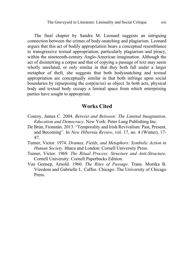The final chapter by Sandra M. Leonard suggests an intriguing connection between the crimes of body-snatching and plagiarism. Leonard argues that this act of bodily appropriation bears a conceptual resemblance to transgressive textual appropriation, particularly plagiarism and piracy, within the nineteenth-century Anglo-American imagination. Although the act of disinterring a corpse and that of copying a passage of text may seem wholly unrelated, or only similar in that they both fall under a larger metaphor of theft, she suggests that both bodysnatching and textual appropriation are conceptually similar in that both infringe upon social boundaries by repurposing the corp(se/us) as object. In both acts, physical body and textual body occupy a liminal space from which enterprising parties have sought to appropriate.

#### **Works Cited**

- Conroy, James C. 2004. *Betwixt and Between: The Liminal Imagination, Education and Democracy*. New York: Peter Lang Publishing Inc.
- De Brún, Fionntán. 2013. "Temporality and Irish Revivalism: Past, Present, and Becoming". In *New Hibernia Review*, vol. 17, no. 4 (Winter), 17- 47.
- Turner, Victor. 1974. *Dramas, Fields, and Metaphors: Symbolic Action in Human Society*. Ithaca and London: Cornell University Press.
- Turner, Victor. 1969. *The Ritual Process: Structure and Anti-Structure*. Cornell University: Cornell Paperbacks Edition.
- Van Gennep, Arnold. 1960. *The Rites of Passage*. Trans. Monika B. Vizedom and Gabrielle L. Caffee. Chicago: The University of Chicago Press.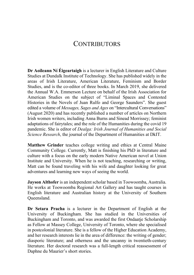### **CONTRIBUTORS**

**Dr Aoileann Ní Éigeartaigh** is a lecturer in English Literature and Culture Studies at Dundalk Institute of Technology. She has published widely in the areas of Irish Literature, American Literature, Feminism and Border Studies, and is the co-editor of three books. In March 2019, she delivered the Annual W.A. Emmerson Lecture on behalf of the Irish Association for American Studies on the subject of "Liminal Spaces and Contested Histories in the Novels of Juan Rulfo and George Saunders". She guest edited a volume of *Messages, Sages and Ages* on "Intercultural Conversations" (August 2020) and has recently published a number of articles on Northern Irish women writers, including Anna Burns and Sinead Morrissey; feminist adaptations of fairytales; and the role of the Humanities during the covid 19 pandemic. She is editor of *Dealga: Irish Journal of Humanities and Social Science Research*, the journal of the Department of Humanities at DkIT.

**Matthew Grinder** teaches college writing and ethics at Central Maine Community College. Currently, Matt is finishing his PhD in literature and culture with a focus on the early modern Native American novel at Union Institute and University. When he is not teaching, researching or writing, Matt can be found traveling with his wife and daughter looking for great adventures and learning new ways of seeing the world.

**Jayson Althofer** is an independent scholar based in Toowoomba, Australia. He works at Toowoomba Regional Art Gallery and has taught courses in English literature and Australian history at the University of Southern Queensland.

**Dr Setara Pracha** is a lecturer in the Department of English at the University of Buckingham. She has studied in the Universities of Buckingham and Toronto, and was awarded the first Ondaatje Scholarship as Fellow at Massey College, University of Toronto, where she specialised in postcolonial literature. She is a fellow of the Higher Education Academy, and her research interests lie in the area of difference: the writing of gender; diasporic literature; and otherness and the uncanny in twentieth-century literature. Her doctoral research was a full-length critical reassessment of Daphne du Maurier's short stories.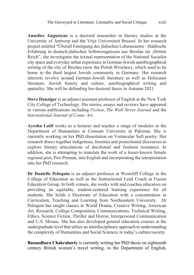**Annelies Augustyns** is a doctoral researcher in literary studies at the University of Antwerp and the Vrije Universiteit Brussel. In her research project entitled "Überall Einengung des jüdischen Lebensraums- Städtische Erfahrung in deutsch-jüdischen Selbstzeugnissen aus Breslau im 'Dritten Reich", she investigates the textual representation of the National Socialist city space and everyday urban experience in German-Jewish autobiographical writing of the city of Breslau (now the Polish Wrocław), which used to be home to the third largest Jewish community in Germany. Her research interests revolve around German-Jewish literature as well as Holocaust literature, Jewish history and culture, autobiographical writing and spatiality. She will be defending her doctoral thesis in Autumn 2021.

**Steve Danziger** is an adjunct assistant professor of English at the New York City College of Technology. His stories, essays and reviews have appeared in various publications including *Fiction*, *The Wall Street Journal* and the *International Journal of Comic Art*.

**Ayesha Latif** works as a lecturer and teaches a range of modules in the Department of Humanities at Comsats University in Pakistan. She is currently working on her PhD dissertation on Vernacular Sufi poetry. Her research draws together indigenous, feminist and postcolonial discourses to explore literary articulations of decolonial and feminist resistance. In addition, she is attempting to translate the work of a lesser-known female regional poet, Piro Preman, into English and incorporating the interpretation into her PhD research.

**Dr Danielle Peloquin** is an adjunct professor at Westcliff College in the College of Education as well as the Instructional Lead Coach at Fusion Education Group. In both venues, she works with and coaches educators on providing an equitable, student-centered learning experience for all students. She holds a Doctorate of Education with a concentration in Curriculum, Teaching and Learning from Northeastern University. Dr Peloquin has taught classes in World Drama, Creative Writing, American Art, Research, College Composition, Communications, Technical Writing, Ethics, Science Fiction, Thriller and Horror, Interpersonal Communication and U.S. Mosaic. She has also developed general education courses at the undergraduate level that utilize an interdisciplinary approach to understanding the complexity of Humanities and Social Sciences in today's culture/society.

**Basundhara Chakraborty** is currently writing her PhD thesis on eighteenth century British women's travel writing, in the Department of English,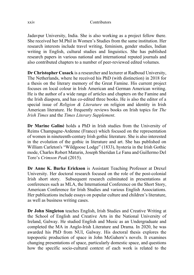xxiv Contributors

Jadavpur University, India. She is also working as a project fellow there. She received her M.Phil in Women's Studies from the same institution. Her research interests include travel writing, feminism, gender studies, Indian writing in English, cultural studies and linguistics. She has published research papers in various national and international reputed journals and also contributed chapters to a number of peer-reviewed edited volumes.

**Dr Christopher Cusack** is a researcher and lecturer at Radboud University, The Netherlands, where he received his PhD (with distinction) in 2018 for a thesis on the literary memory of the Great Famine. His current project focuses on local colour in Irish American and German American writing. He is the author of a wide range of articles and chapters on the Famine and the Irish diaspora, and has co-edited three books. He is also the editor of a special issue of *Religion & Literature* on religion and identity in Irish American literature. He frequently reviews books on Irish topics for *The Irish Times* and the *Times Literary Supplement*.

**Dr Marine Galiné** holds a PhD in Irish studies from the University of Reims Champagne-Ardenne (France) which focused on the representation of women in nineteenth-century Irish gothic literature. She is also interested in the evolution of the gothic in literature and art. She has published on William Carleton's "Wildgoose Lodge" (1833), hysteria in the Irish Gothic mode, Charles Robert Maturin, Joseph Sheridan Le Fanu and Guillermo Del Toro's *Crimson Peak* (2015).

**Dr Anne K. Burke Erickson** is Assistant Teaching Professor at Drexel University. Her doctoral research focused on the role of the post-colonial Irish short story. Subsequent research culminated in presentations at conferences such as MLA, the International Conference on the Short Story, American Conference for Irish Studies and various English Associations. Her publications include essays on popular culture and children's literature, as well as business writing cases.

**Dr John Singleton** teaches English, Irish Studies and Creative Writing at the School of English and Creative Arts in the National University of Ireland, Galway. He studied English and Music as an Undergraduate and completed the MA in Anglo-Irish Literature and Drama. In 2020, he was awarded his PhD from NUI, Galway. His doctoral thesis explores the topopoetic production of space in John McGahern's novels. It examines changing presentations of space, particularly domestic space, and questions how the specific socio-cultural context of each work is related to the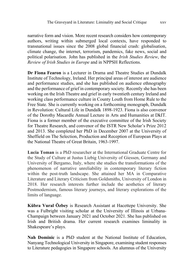narrative form and vision. More recent research considers how contemporary authors, writing within submerged local contexts, have responded to transnational issues since the 2008 global financial crash: globalisation, climate change, the internet, terrorism, pandemics, fake news, social and political polarisation. John has published in the *Irish Studies Review*, the *Review of Irish Studies in Europe* and in NPPSH Reflections.

**Dr Fiona Fearon** is a Lecturer in Drama and Theatre Studies at Dundalk Institute of Technology, Ireland. Her principal areas of interest are audience and performance studies, and she has published on audience ethnography and the performance of grief in contemporary society. Recently she has been working on the Irish Theatre and grief in early twentieth century Ireland and working class performance culture in County Louth from Home Rule to the Free State. She is currently working on a forthcoming monograph, Dundalk in Revolution: Cultural Life in Dundalk 1898-1923. Fiona is also convenor of the Dorothy Macardle Annual Lecture in Arts and Humanities at DkIT. Fiona is a former member of the executive committee of the Irish Society for Theatre Research, and convenor of the ISTR New Scholar's Prize 2012 and 2013. She completed her PhD in December 2007 at the University of Sheffield on The Selection, Production and Reception of European Plays at the National Theatre of Great Britain, 1963-1997.

**Lucia Toman** is a PhD researcher at the International Graduate Centre for the Study of Culture at Justus Liebig University of Giessen, Germany and University of Bergamo, Italy, where she studies the transformations of the phenomenon of narrative unreliability in contemporary literary fiction within the post-truth landscape. She attained her MA in Comparative Literature and Literary Criticism from Goldsmiths, University of London in 2018. Her research interests further include the aesthetics of literary Postmodernism, famous literary journeys, and literary explorations of the limits of language.

**Kübra Vural Özbey** is Research Assistant at Hacettepe University. She was a Fulbright visiting scholar at the University of Illinois at Urbana-Champaign between January 2021 and October 2021. She has published on Irish and British drama. Her current research examines liminality in Shakespeare's plays.

**Nah Dominic** is a PhD student at the National Institute of Education, Nanyang Technological University in Singapore, examining student responses to Literature pedagogies in Singapore schools. An alumnus of the University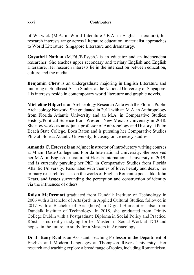of Warwick (M.A. in World Literature / B.A. in English Literature), his research interests range across Literature education, materialist approaches to World Literature, Singapore Literature and dramaturgy.

**Gayathrii Nathan** (M.Ed./B.Psych.) is an educator and an independent researcher. She teaches upper secondary and tertiary English and English Literature. Her research interests lie in the intersection between education, culture and the media.

**Benjamin Chew** is an undergraduate majoring in English Literature and minoring in Southeast Asian Studies at the National University of Singapore. His interests reside in contemporary world literature and graphic novels.

**Micheline Hilpert** is an Archaeology Research Aide with the Florida Public Archaeology Network. She graduated in 2011 with an M.A. in Anthropology from Florida Atlantic University and an M.A. in Comparative Studies: History/Political Science from Western New Mexico University in 2018. She now works as an adjunct professor of Anthropology and History at Palm Beach State College, Boca Raton and is pursuing her Comparative Studies PhD at Florida Atlantic University, focusing on cemetery studies.

**Amanda C. Estevez** is an adjunct instructor of introductory writing courses at Miami Dade College and Florida International University. She received her M.A. in English Literature at Florida International University in 2019, and is currently pursuing her PhD in Comparative Studies from Florida Atlantic University. Fascinated with themes of love, beauty and death, her primary research focuses on the works of English Romantic poets, like John Keats, and issues surrounding the perception and construction of identity via the influences of others

**Róisín McDermott** graduated from Dundalk Institute of Technology in 2006 with a Bachelor of Arts (ord) in Applied Cultural Studies, followed in 2017 with a Bachelor of Arts (hons) in Digital Humanities, also from Dundalk Institute of Technology. In 2018, she graduated from Trinity College Dublin with a Postgraduate Diploma in Social Policy and Practice. Róisín is currently studying for her Masters in Social Work at TCD and hopes, in the future, to study for a Masters in Archaeology.

**Dr Brittany Reid** is an Assistant Teaching Professor in the Department of English and Modern Languages at Thompson Rivers University. Her research and teaching explore a broad range of topics, including Romanticism,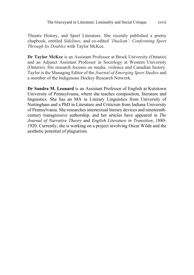Theatre History, and Sport Literature. She recently published a poetry chapbook, entitled *Sidelines*, and co-edited *'Duelism': Confronting Sport Through Its Doubles* with Taylor McKee.

**Dr Taylor McKee** is an Assistant Professor at Brock University (Ontario) and an Adjunct Assistant Professor in Sociology at Western University (Ontario). His research focuses on media, violence and Canadian history. Taylor is the Managing Editor of the *Journal of Emerging Sport Studies* and a member of the Indigenous Hockey Research Network.

**Dr Sandra M. Leonard** is an Assistant Professor of English at Kutztown University of Pennsylvania, where she teaches composition, literature and linguistics. She has an MA in Literary Linguistics from University of Nottingham and a PhD in Literature and Criticism from Indiana University of Pennsylvania. She researches intertextual literary devices and nineteenthcentury transgressive authorship, and her articles have appeared in *The Journal of Narrative Theory* and *English Literature in Transition*, 1880- 1920. Currently, she is working on a project involving Oscar Wilde and the aesthetic potential of plagiarism.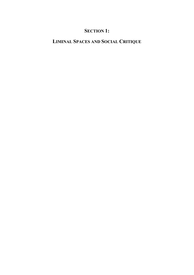### **SECTION 1:**

## **LIMINAL SPACES AND SOCIAL CRITIQUE**